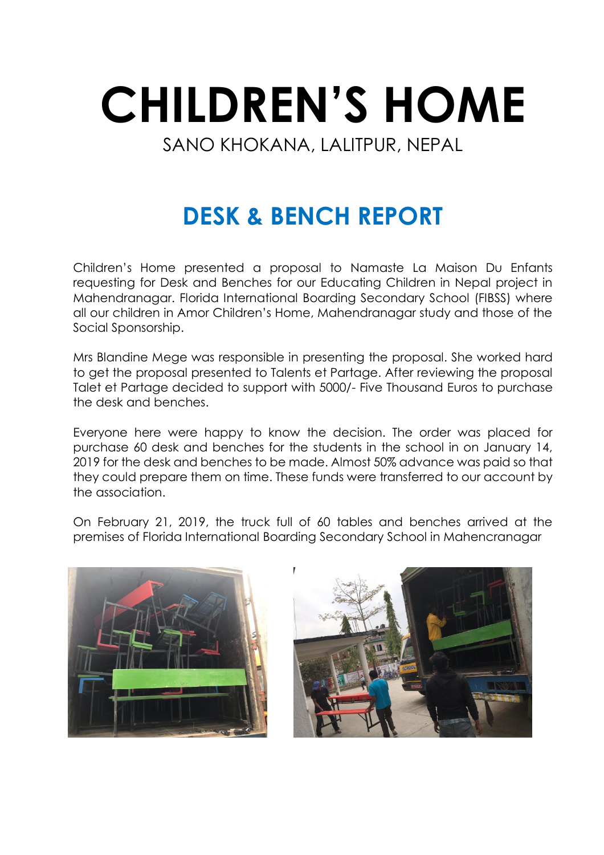## **CHILDREN'S HOME** SANO KHOKANA, LALITPUR, NEPAL

## **DESK & BENCH REPORT**

Children's Home presented a proposal to Namaste La Maison Du Enfants requesting for Desk and Benches for our Educating Children in Nepal project in Mahendranagar. Florida International Boarding Secondary School (FIBSS) where all our children in Amor Children's Home, Mahendranagar study and those of the Social Sponsorship.

Mrs Blandine Mege was responsible in presenting the proposal. She worked hard to get the proposal presented to Talents et Partage. After reviewing the proposal Talet et Partage decided to support with 5000/- Five Thousand Euros to purchase the desk and benches.

Everyone here were happy to know the decision. The order was placed for purchase 60 desk and benches for the students in the school in on January 14, 2019 for the desk and benches to be made. Almost 50% advance was paid so that they could prepare them on time. These funds were transferred to our account by the association.

On February 21, 2019, the truck full of 60 tables and benches arrived at the premises of Florida International Boarding Secondary School in Mahencranagar



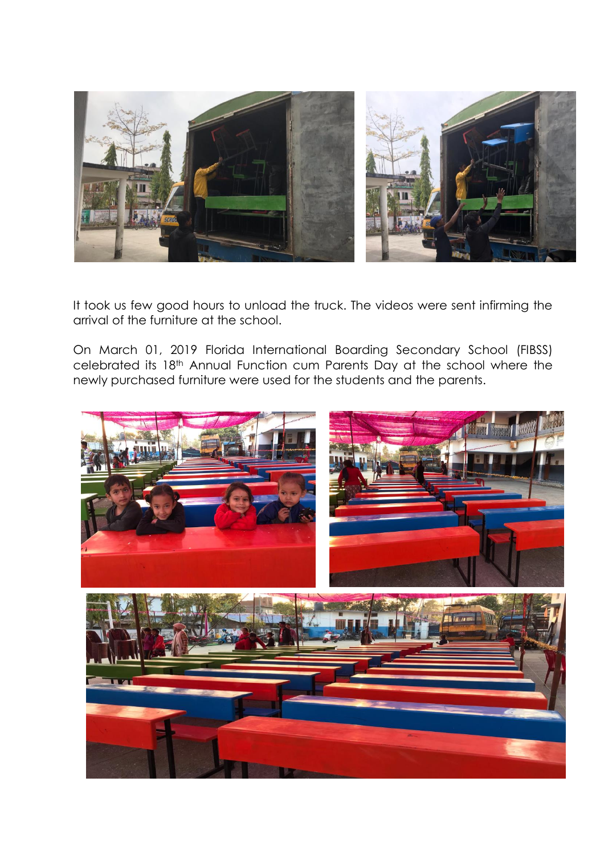

It took us few good hours to unload the truck. The videos were sent infirming the arrival of the furniture at the school.

On March 01, 2019 Florida International Boarding Secondary School (FIBSS) celebrated its 18th Annual Function cum Parents Day at the school where the newly purchased furniture were used for the students and the parents.

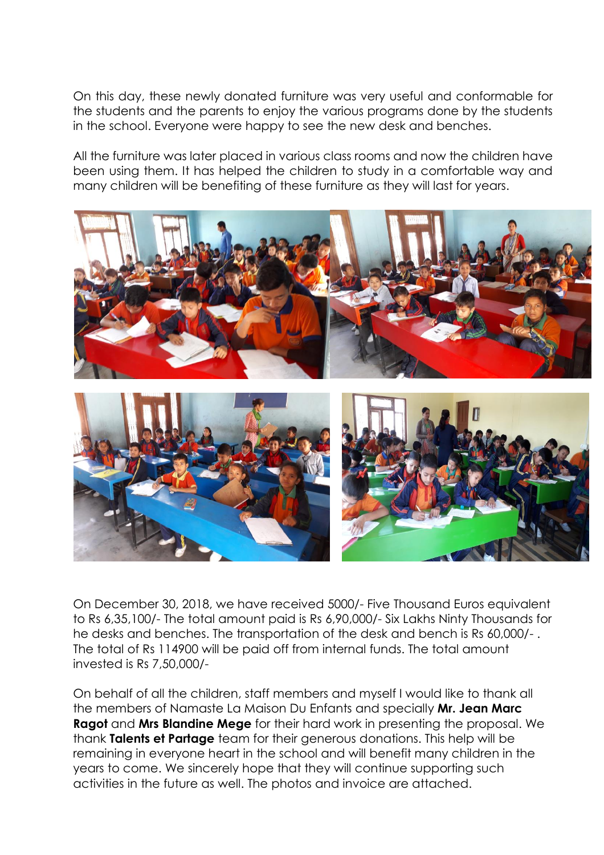On this day, these newly donated furniture was very useful and conformable for the students and the parents to enjoy the various programs done by the students in the school. Everyone were happy to see the new desk and benches.

All the furniture was later placed in various class rooms and now the children have been using them. It has helped the children to study in a comfortable way and many children will be benefiting of these furniture as they will last for years.



On December 30, 2018, we have received 5000/- Five Thousand Euros equivalent to Rs 6,35,100/- The total amount paid is Rs 6,90,000/- Six Lakhs Ninty Thousands for he desks and benches. The transportation of the desk and bench is Rs 60,000/- . The total of Rs 114900 will be paid off from internal funds. The total amount invested is Rs 7,50,000/-

On behalf of all the children, staff members and myself I would like to thank all the members of Namaste La Maison Du Enfants and specially **Mr. Jean Marc Ragot** and **Mrs Blandine Mege** for their hard work in presenting the proposal. We thank **Talents et Partage** team for their generous donations. This help will be remaining in everyone heart in the school and will benefit many children in the years to come. We sincerely hope that they will continue supporting such activities in the future as well. The photos and invoice are attached.